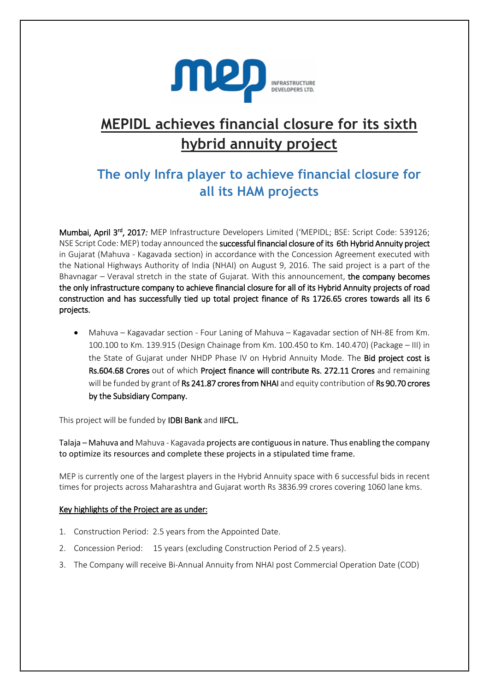

## **MEPIDL achieves financial closure for its sixth hybrid annuity project**

## **The only Infra player to achieve financial closure for all its HAM projects**

Mumbai, April 3rd, 2017*:* MEP Infrastructure Developers Limited ('MEPIDL; BSE: Script Code: 539126; NSE Script Code: MEP) today announced the successful financial closure of its 6th Hybrid Annuity project in Gujarat (Mahuva - Kagavada section) in accordance with the Concession Agreement executed with the National Highways Authority of India (NHAI) on August 9, 2016. The said project is a part of the Bhavnagar – Veraval stretch in the state of Gujarat. With this announcement, the company becomes the only infrastructure company to achieve financial closure for all of its Hybrid Annuity projects of road construction and has successfully tied up total project finance of Rs 1726.65 crores towards all its 6 projects.

• Mahuva – Kagavadar section - Four Laning of Mahuva – Kagavadar section of NH-8E from Km. 100.100 to Km. 139.915 (Design Chainage from Km. 100.450 to Km. 140.470) (Package – III) in the State of Gujarat under NHDP Phase IV on Hybrid Annuity Mode. The Bid project cost is Rs.604.68 Crores out of which Project finance will contribute Rs. 272.11 Crores and remaining will be funded by grant of Rs 241.87 crores from NHAI and equity contribution of Rs 90.70 crores by the Subsidiary Company.

This project will be funded by IDBI Bank and IIFCL.

Talaja – Mahuva and Mahuva - Kagavada projects are contiguous in nature. Thus enabling the company to optimize its resources and complete these projects in a stipulated time frame.

MEP is currently one of the largest players in the Hybrid Annuity space with 6 successful bids in recent times for projects across Maharashtra and Gujarat worth Rs 3836.99 crores covering 1060 lane kms.

## Key highlights of the Project are as under:

- 1. Construction Period: 2.5 years from the Appointed Date.
- 2. Concession Period: 15 years (excluding Construction Period of 2.5 years).
- 3. The Company will receive Bi-Annual Annuity from NHAI post Commercial Operation Date (COD)